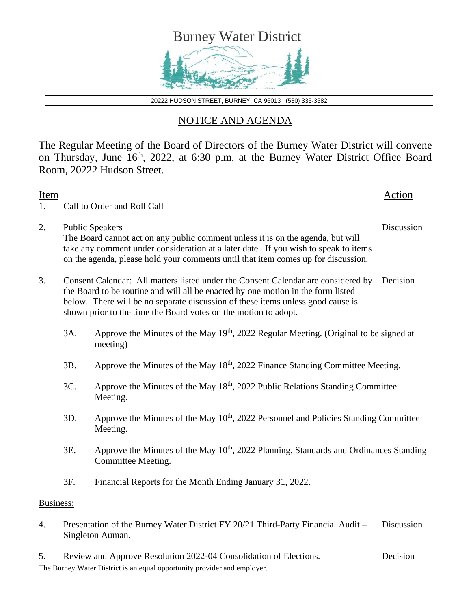

20222 HUDSON STREET, BURNEY, CA 96013 (530) 335-3582

## NOTICE AND AGENDA

The Regular Meeting of the Board of Directors of the Burney Water District will convene on Thursday, June 16<sup>th</sup>, 2022, at 6:30 p.m. at the Burney Water District Office Board Room, 20222 Hudson Street.

| Item<br>1. |                                                                                                                    | Call to Order and Roll Call                                                                                                                                                                                                                                                                                                 | <b>Action</b> |  |
|------------|--------------------------------------------------------------------------------------------------------------------|-----------------------------------------------------------------------------------------------------------------------------------------------------------------------------------------------------------------------------------------------------------------------------------------------------------------------------|---------------|--|
| 2.         | <b>Public Speakers</b>                                                                                             | The Board cannot act on any public comment unless it is on the agenda, but will<br>take any comment under consideration at a later date. If you wish to speak to items<br>on the agenda, please hold your comments until that item comes up for discussion.                                                                 | Discussion    |  |
| 3.         |                                                                                                                    | Consent Calendar: All matters listed under the Consent Calendar are considered by<br>the Board to be routine and will all be enacted by one motion in the form listed<br>below. There will be no separate discussion of these items unless good cause is<br>shown prior to the time the Board votes on the motion to adopt. |               |  |
|            | 3A.                                                                                                                | Approve the Minutes of the May 19 <sup>th</sup> , 2022 Regular Meeting. (Original to be signed at<br>meeting)                                                                                                                                                                                                               |               |  |
|            | 3B.                                                                                                                | Approve the Minutes of the May 18 <sup>th</sup> , 2022 Finance Standing Committee Meeting.                                                                                                                                                                                                                                  |               |  |
|            | 3C.                                                                                                                | Approve the Minutes of the May 18 <sup>th</sup> , 2022 Public Relations Standing Committee<br>Meeting.                                                                                                                                                                                                                      |               |  |
|            | 3D.                                                                                                                | Approve the Minutes of the May 10 <sup>th</sup> , 2022 Personnel and Policies Standing Committee<br>Meeting.                                                                                                                                                                                                                |               |  |
|            | 3E.                                                                                                                | Approve the Minutes of the May 10 <sup>th</sup> , 2022 Planning, Standards and Ordinances Standing<br>Committee Meeting.                                                                                                                                                                                                    |               |  |
|            | 3F.                                                                                                                | Financial Reports for the Month Ending January 31, 2022.                                                                                                                                                                                                                                                                    |               |  |
| Business:  |                                                                                                                    |                                                                                                                                                                                                                                                                                                                             |               |  |
| 4.         | Presentation of the Burney Water District FY 20/21 Third-Party Financial Audit –<br>Discussion<br>Singleton Auman. |                                                                                                                                                                                                                                                                                                                             |               |  |

The Burney Water District is an equal opportunity provider and employer. 5. Review and Approve Resolution 2022-04 Consolidation of Elections. Decision